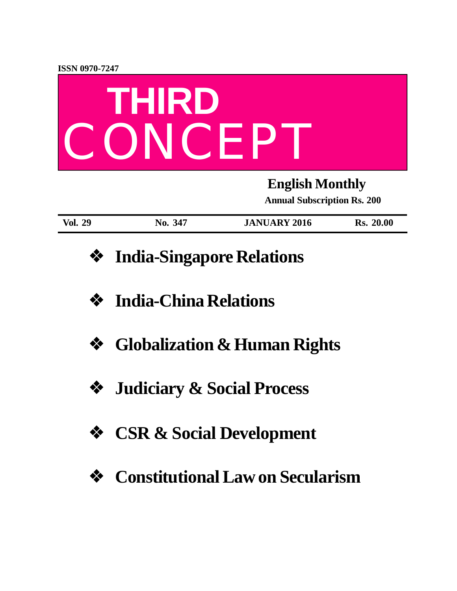

| <b>Vol. 29</b> | 347<br>$\bf{N0.}$ | <b>JANUARY 2016</b> | 20.00<br>Rs. |
|----------------|-------------------|---------------------|--------------|

- **❖ India-Singapore Relations**
- **❖ India-China Relations**
- **❖ Globalization & Human Rights**
- **❖ Judiciary & Social Process**
- **❖ CSR & Social Development**
- **❖ Constitutional Law on Secularism**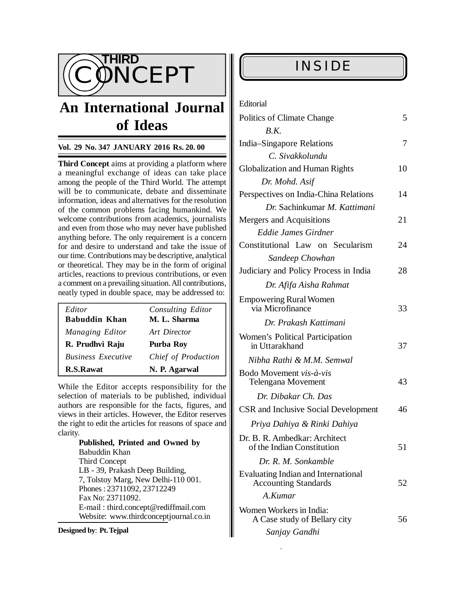

# **An International Journal of Ideas**

#### **Vol. 29 No. 347 JANUARY 2016 Rs. 20. 00**

**Third Concept** aims at providing a platform where a meaningful exchange of ideas can take place among the people of the Third World. The attempt will be to communicate, debate and disseminate information, ideas and alternatives for the resolution of the common problems facing humankind. We welcome contributions from academics, journalists and even from those who may never have published anything before. The only requirement is a concern for and desire to understand and take the issue of our time. Contributions may be descriptive, analytical or theoretical. They may be in the form of original articles, reactions to previous contributions, or even a comment on a prevailing situation. All contributions, neatly typed in double space, may be addressed to:

| Editor<br><b>Babuddin Khan</b> | Consulting Editor<br>M. L. Sharma |
|--------------------------------|-----------------------------------|
| Managing Editor                | Art Director                      |
| R. Prudhvi Raju                | Purba Roy                         |
| <b>Business Executive</b>      | Chief of Production               |
| <b>R.S.Rawat</b>               | N. P. Agarwal                     |

While the Editor accepts responsibility for the selection of materials to be published, individual authors are responsible for the facts, figures, and views in their articles. However, the Editor reserves the right to edit the articles for reasons of space and clarity.

> **Published, Printed and Owned by** Babuddin Khan Third Concept LB - 39, Prakash Deep Building, 7, Tolstoy Marg, New Delhi-110 001. Phones : 23711092, 23712249 Fax No: 23711092. E-mail : [third.concept@rediffmail.com](mailto:third.concept@rediffmail.com) Website: [www.thirdconceptjournal.co.in](http://www.thirdconceptjournal.co.in)

5 THURD CONCEPT, JANUARY 2016, JANUARY 2016, JANUARY 2016, JANUARY 2016, JANUARY 2016, JANUARY 2016, JANUARY 20<br>19 The Concept of the Concept of the Concept of the Concept of the Concept of the Concept of the Concept of th

#### **Designed by**: **Pt. Tejpal**

### **INSIDE**

Editorial

| Politics of Climate Change                                                |    |  |
|---------------------------------------------------------------------------|----|--|
| B.K.                                                                      |    |  |
| India–Singapore Relations                                                 | 7  |  |
| C. Sivakkolundu                                                           |    |  |
| <b>Globalization and Human Rights</b>                                     |    |  |
| Dr. Mohd. Asif                                                            |    |  |
| Perspectives on India-China Relations                                     |    |  |
| Dr. Sachinkumar M. Kattimani                                              |    |  |
| Mergers and Acquisitions                                                  | 21 |  |
| Eddie James Girdner                                                       |    |  |
| Constitutional Law on Secularism                                          | 24 |  |
| Sandeep Chowhan                                                           |    |  |
| Judiciary and Policy Process in India                                     | 28 |  |
| Dr. Afifa Aisha Rahmat                                                    |    |  |
| <b>Empowering Rural Women</b><br>via Microfinance                         | 33 |  |
| Dr. Prakash Kattimani                                                     |    |  |
| Women's Political Participation<br>in Uttarakhand                         | 37 |  |
| Nibha Rathi & M.M. Semwal                                                 |    |  |
| Bodo Movement vis-à-vis<br><b>Telengana Movement</b>                      | 43 |  |
| Dr. Dibakar Ch. Das                                                       |    |  |
| <b>CSR</b> and Inclusive Social Development                               | 46 |  |
| Priya Dahiya & Rinki Dahiya                                               |    |  |
| Dr. B. R. Ambedkar: Architect<br>of the Indian Constitution               |    |  |
| Dr. R. M. Sonkamble                                                       |    |  |
| <b>Evaluating Indian and International</b><br><b>Accounting Standards</b> |    |  |
| A.Kumar                                                                   |    |  |
| Women Workers in India:<br>A Case study of Bellary city                   |    |  |
| Sanjay Gandhi                                                             |    |  |